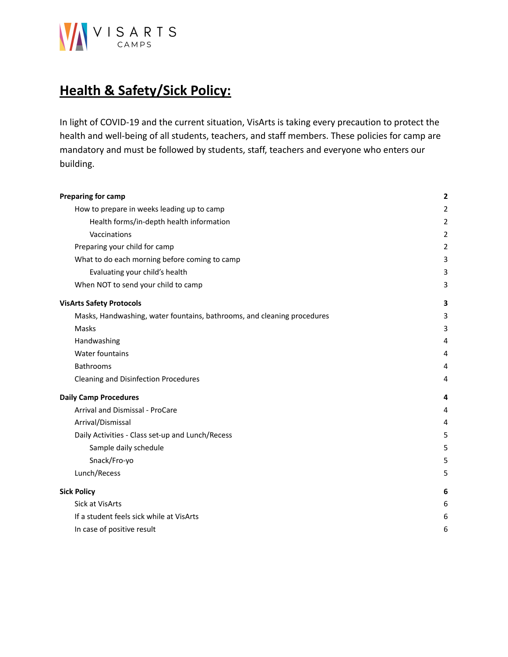

# **Health & Safety/Sick Policy:**

In light of COVID-19 and the current situation, VisArts is taking every precaution to protect the health and well-being of all students, teachers, and staff members. These policies for camp are mandatory and must be followed by students, staff, teachers and everyone who enters our building.

| <b>Preparing for camp</b>                                               | $\mathbf{2}$   |
|-------------------------------------------------------------------------|----------------|
| How to prepare in weeks leading up to camp                              | $\overline{2}$ |
| Health forms/in-depth health information                                | $\overline{2}$ |
| Vaccinations                                                            | $\overline{2}$ |
| Preparing your child for camp                                           | $\overline{2}$ |
| What to do each morning before coming to camp                           | 3              |
| Evaluating your child's health                                          | 3              |
| When NOT to send your child to camp                                     | 3              |
| <b>VisArts Safety Protocols</b>                                         | 3              |
| Masks, Handwashing, water fountains, bathrooms, and cleaning procedures | 3              |
| Masks                                                                   | 3              |
| Handwashing                                                             | 4              |
| Water fountains                                                         | 4              |
| Bathrooms                                                               | 4              |
| Cleaning and Disinfection Procedures                                    | 4              |
| <b>Daily Camp Procedures</b>                                            | 4              |
| Arrival and Dismissal - ProCare                                         | 4              |
| Arrival/Dismissal                                                       | 4              |
| Daily Activities - Class set-up and Lunch/Recess                        | 5              |
| Sample daily schedule                                                   | 5              |
| Snack/Fro-yo                                                            | 5              |
| Lunch/Recess                                                            | 5              |
| <b>Sick Policy</b>                                                      | 6              |
| <b>Sick at VisArts</b>                                                  | 6              |
| If a student feels sick while at VisArts                                | 6              |
| In case of positive result                                              | 6              |
|                                                                         |                |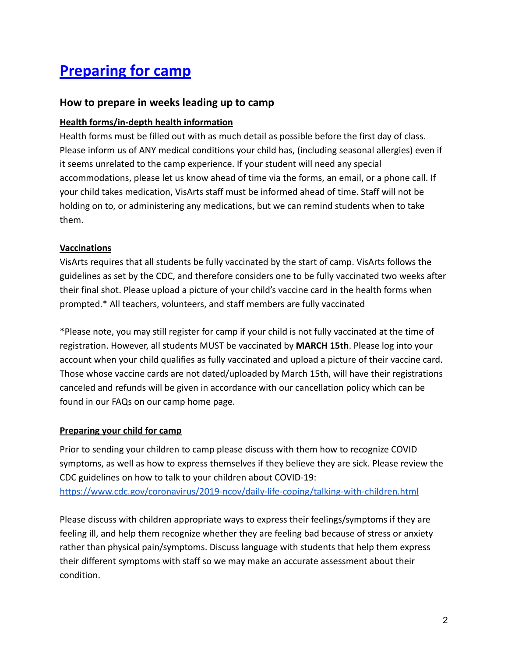# <span id="page-1-0"></span>**Preparing for camp**

### <span id="page-1-1"></span>**How to prepare in weeks leading up to camp**

#### <span id="page-1-2"></span>**Health forms/in-depth health information**

Health forms must be filled out with as much detail as possible before the first day of class. Please inform us of ANY medical conditions your child has, (including seasonal allergies) even if it seems unrelated to the camp experience. If your student will need any special accommodations, please let us know ahead of time via the forms, an email, or a phone call. If your child takes medication, VisArts staff must be informed ahead of time. Staff will not be holding on to, or administering any medications, but we can remind students when to take them.

#### <span id="page-1-3"></span>**Vaccinations**

VisArts requires that all students be fully vaccinated by the start of camp. VisArts follows the guidelines as set by the CDC, and therefore considers one to be fully vaccinated two weeks after their final shot. Please upload a picture of your child's vaccine card in the health forms when prompted.\* All teachers, volunteers, and staff members are fully vaccinated

\*Please note, you may still register for camp if your child is not fully vaccinated at the time of registration. However, all students MUST be vaccinated by **MARCH 15th**. Please log into your account when your child qualifies as fully vaccinated and upload a picture of their vaccine card. Those whose vaccine cards are not dated/uploaded by March 15th, will have their registrations canceled and refunds will be given in accordance with our cancellation policy which can be found in our FAQs on our camp home page.

#### <span id="page-1-4"></span>**Preparing your child for camp**

Prior to sending your children to camp please discuss with them how to recognize COVID symptoms, as well as how to express themselves if they believe they are sick. Please review the CDC guidelines on how to talk to your children about COVID-19: <https://www.cdc.gov/coronavirus/2019-ncov/daily-life-coping/talking-with-children.html>

Please discuss with children appropriate ways to express their feelings/symptoms if they are feeling ill, and help them recognize whether they are feeling bad because of stress or anxiety rather than physical pain/symptoms. Discuss language with students that help them express their different symptoms with staff so we may make an accurate assessment about their condition.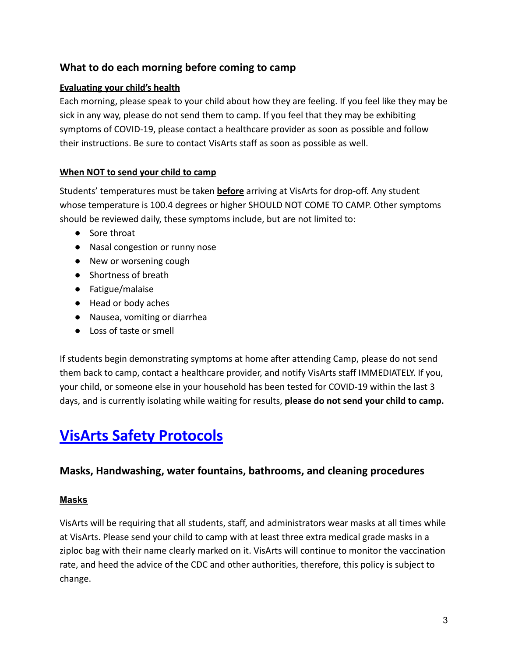## <span id="page-2-0"></span>**What to do each morning before coming to camp**

### <span id="page-2-1"></span>**Evaluating your child's health**

Each morning, please speak to your child about how they are feeling. If you feel like they may be sick in any way, please do not send them to camp. If you feel that they may be exhibiting symptoms of COVID-19, please contact a healthcare provider as soon as possible and follow their instructions. Be sure to contact VisArts staff as soon as possible as well.

#### <span id="page-2-2"></span>**When NOT to send your child to camp**

Students' temperatures must be taken **before** arriving at VisArts for drop-off. Any student whose temperature is 100.4 degrees or higher SHOULD NOT COME TO CAMP. Other symptoms should be reviewed daily, these symptoms include, but are not limited to:

- Sore throat
- Nasal congestion or runny nose
- New or worsening cough
- Shortness of breath
- Fatigue/malaise
- Head or body aches
- Nausea, vomiting or diarrhea
- Loss of taste or smell

If students begin demonstrating symptoms at home after attending Camp, please do not send them back to camp, contact a healthcare provider, and notify VisArts staff IMMEDIATELY. If you, your child, or someone else in your household has been tested for COVID-19 within the last 3 days, and is currently isolating while waiting for results, **please do not send your child to camp.**

# <span id="page-2-3"></span>**VisArts Safety Protocols**

## <span id="page-2-4"></span>**Masks, Handwashing, water fountains, bathrooms, and cleaning procedures**

#### <span id="page-2-5"></span>**Masks**

VisArts will be requiring that all students, staff, and administrators wear masks at all times while at VisArts. Please send your child to camp with at least three extra medical grade masks in a ziploc bag with their name clearly marked on it. VisArts will continue to monitor the vaccination rate, and heed the advice of the CDC and other authorities, therefore, this policy is subject to change.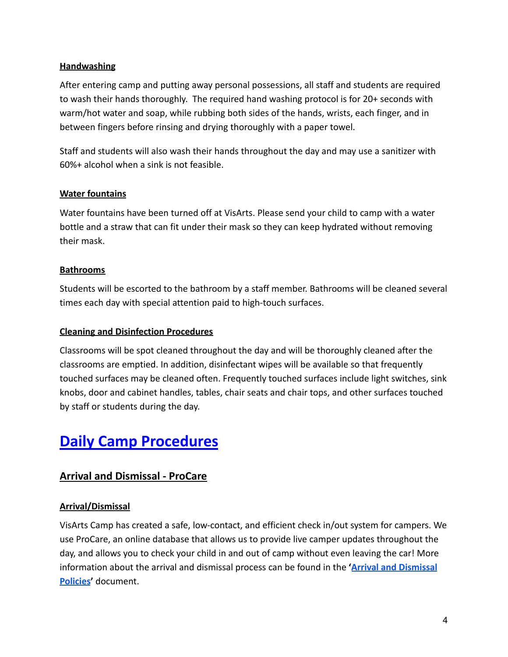#### <span id="page-3-0"></span>**Handwashing**

After entering camp and putting away personal possessions, all staff and students are required to wash their hands thoroughly. The required hand washing protocol is for 20+ seconds with warm/hot water and soap, while rubbing both sides of the hands, wrists, each finger, and in between fingers before rinsing and drying thoroughly with a paper towel.

Staff and students will also wash their hands throughout the day and may use a sanitizer with 60%+ alcohol when a sink is not feasible.

#### <span id="page-3-1"></span>**Water fountains**

Water fountains have been turned off at VisArts. Please send your child to camp with a water bottle and a straw that can fit under their mask so they can keep hydrated without removing their mask.

#### <span id="page-3-2"></span>**Bathrooms**

Students will be escorted to the bathroom by a staff member. Bathrooms will be cleaned several times each day with special attention paid to high-touch surfaces.

#### <span id="page-3-3"></span>**Cleaning and Disinfection Procedures**

Classrooms will be spot cleaned throughout the day and will be thoroughly cleaned after the classrooms are emptied. In addition, disinfectant wipes will be available so that frequently touched surfaces may be cleaned often. Frequently touched surfaces include light switches, sink knobs, door and cabinet handles, tables, chair seats and chair tops, and other surfaces touched by staff or students during the day.

# <span id="page-3-4"></span>**Daily Camp Procedures**

## <span id="page-3-5"></span>**Arrival and Dismissal - ProCare**

#### <span id="page-3-6"></span>**Arrival/Dismissal**

VisArts Camp has created a safe, low-contact, and efficient check in/out system for campers. We use ProCare, an online database that allows us to provide live camper updates throughout the day, and allows you to check your child in and out of camp without even leaving the car! More information about the arrival and dismissal process can be found in the **'[Arrival and Dismissal](https://www.visartscenter.org/x/lc-content/uploads/2022/02/SB-Camp-2022-IMP-DOC_-Arrival-and-Dismissal-Policies.pdf) [Policies](https://www.visartscenter.org/x/lc-content/uploads/2022/02/SB-Camp-2022-IMP-DOC_-Arrival-and-Dismissal-Policies.pdf)'** document.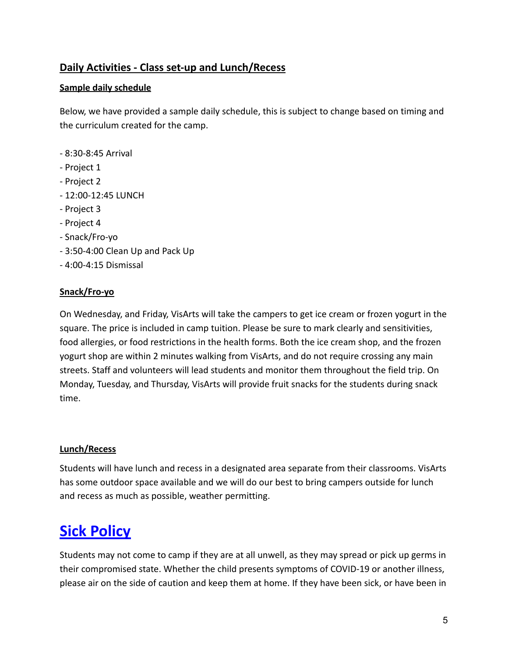## <span id="page-4-0"></span>**Daily Activities - Class set-up and Lunch/Recess**

### <span id="page-4-1"></span>**Sample daily schedule**

Below, we have provided a sample daily schedule, this is subject to change based on timing and the curriculum created for the camp.

- 8:30-8:45 Arrival
- Project 1
- Project 2
- 12:00-12:45 LUNCH
- Project 3
- Project 4
- Snack/Fro-yo
- 3:50-4:00 Clean Up and Pack Up
- 4:00-4:15 Dismissal

#### <span id="page-4-2"></span>**Snack/Fro-yo**

On Wednesday, and Friday, VisArts will take the campers to get ice cream or frozen yogurt in the square. The price is included in camp tuition. Please be sure to mark clearly and sensitivities, food allergies, or food restrictions in the health forms. Both the ice cream shop, and the frozen yogurt shop are within 2 minutes walking from VisArts, and do not require crossing any main streets. Staff and volunteers will lead students and monitor them throughout the field trip. On Monday, Tuesday, and Thursday, VisArts will provide fruit snacks for the students during snack time.

#### <span id="page-4-3"></span>**Lunch/Recess**

Students will have lunch and recess in a designated area separate from their classrooms. VisArts has some outdoor space available and we will do our best to bring campers outside for lunch and recess as much as possible, weather permitting.

# <span id="page-4-4"></span>**Sick Policy**

Students may not come to camp if they are at all unwell, as they may spread or pick up germs in their compromised state. Whether the child presents symptoms of COVID-19 or another illness, please air on the side of caution and keep them at home. If they have been sick, or have been in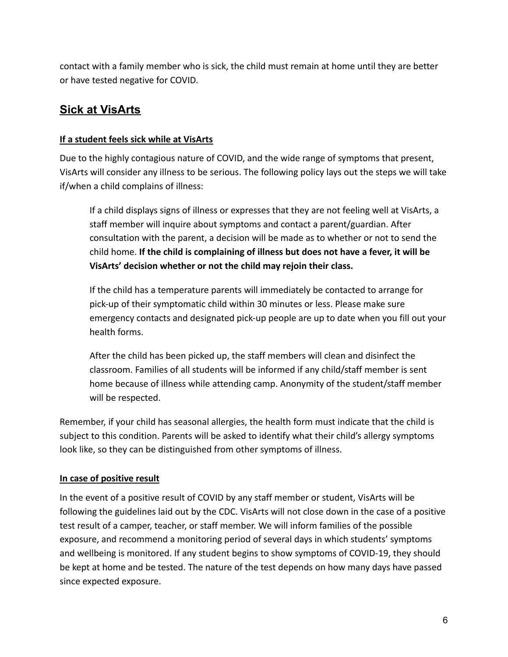contact with a family member who is sick, the child must remain at home until they are better or have tested negative for COVID.

# <span id="page-5-0"></span>**Sick at VisArts**

### <span id="page-5-1"></span>**If a student feels sick while at VisArts**

Due to the highly contagious nature of COVID, and the wide range of symptoms that present, VisArts will consider any illness to be serious. The following policy lays out the steps we will take if/when a child complains of illness:

If a child displays signs of illness or expresses that they are not feeling well at VisArts, a staff member will inquire about symptoms and contact a parent/guardian. After consultation with the parent, a decision will be made as to whether or not to send the child home. **If the child is complaining of illness but does not have a fever, it will be VisArts' decision whether or not the child may rejoin their class.**

If the child has a temperature parents will immediately be contacted to arrange for pick-up of their symptomatic child within 30 minutes or less. Please make sure emergency contacts and designated pick-up people are up to date when you fill out your health forms.

After the child has been picked up, the staff members will clean and disinfect the classroom. Families of all students will be informed if any child/staff member is sent home because of illness while attending camp. Anonymity of the student/staff member will be respected.

Remember, if your child has seasonal allergies, the health form must indicate that the child is subject to this condition. Parents will be asked to identify what their child's allergy symptoms look like, so they can be distinguished from other symptoms of illness.

## <span id="page-5-2"></span>**In case of positive result**

In the event of a positive result of COVID by any staff member or student, VisArts will be following the guidelines laid out by the CDC. VisArts will not close down in the case of a positive test result of a camper, teacher, or staff member. We will inform families of the possible exposure, and recommend a monitoring period of several days in which students' symptoms and wellbeing is monitored. If any student begins to show symptoms of COVID-19, they should be kept at home and be tested. The nature of the test depends on how many days have passed since expected exposure.